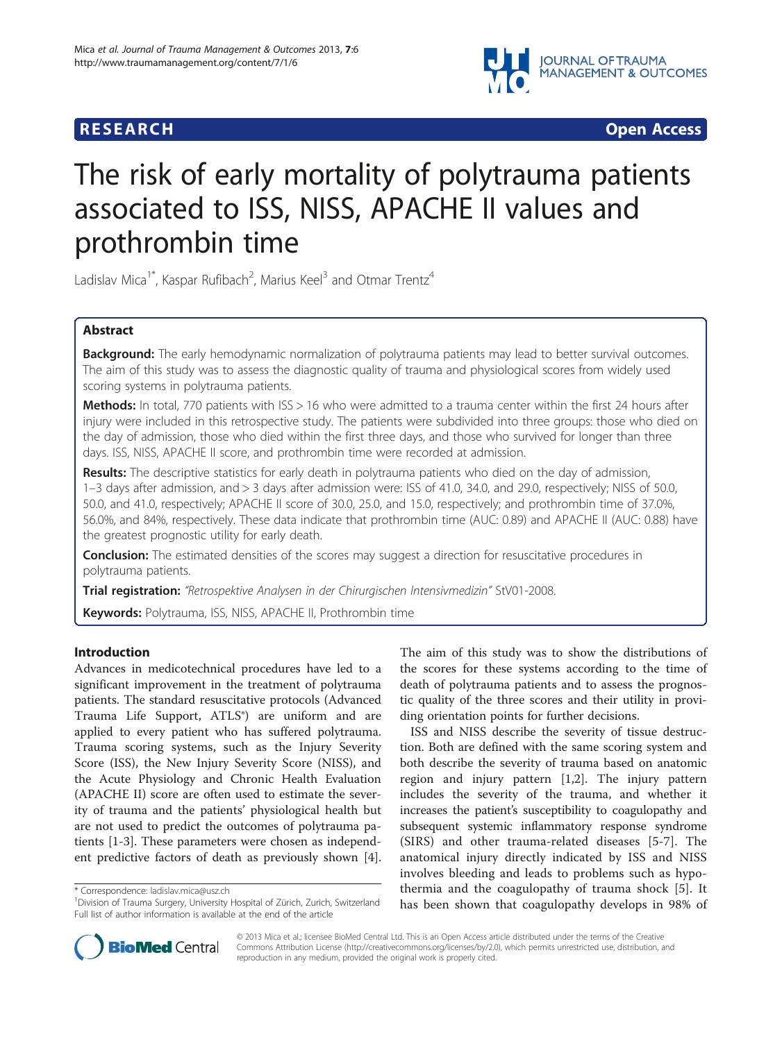

**RESEARCH CHINESE ARCH CHINESE ARCH CHINESE ARCH <b>CHINESE ARCH** 

# The risk of early mortality of polytrauma patients associated to ISS, NISS, APACHE II values and prothrombin time

Ladislav Mica<sup>1\*</sup>, Kaspar Rufibach<sup>2</sup>, Marius Keel<sup>3</sup> and Otmar Trentz<sup>4</sup>

# Abstract

Background: The early hemodynamic normalization of polytrauma patients may lead to better survival outcomes. The aim of this study was to assess the diagnostic quality of trauma and physiological scores from widely used scoring systems in polytrauma patients.

Methods: In total, 770 patients with ISS > 16 who were admitted to a trauma center within the first 24 hours after injury were included in this retrospective study. The patients were subdivided into three groups: those who died on the day of admission, those who died within the first three days, and those who survived for longer than three days. ISS, NISS, APACHE II score, and prothrombin time were recorded at admission.

Results: The descriptive statistics for early death in polytrauma patients who died on the day of admission, 1–3 days after admission, and > 3 days after admission were: ISS of 41.0, 34.0, and 29.0, respectively; NISS of 50.0, 50.0, and 41.0, respectively; APACHE II score of 30.0, 25.0, and 15.0, respectively; and prothrombin time of 37.0%, 56.0%, and 84%, respectively. These data indicate that prothrombin time (AUC: 0.89) and APACHE II (AUC: 0.88) have the greatest prognostic utility for early death.

**Conclusion:** The estimated densities of the scores may suggest a direction for resuscitative procedures in polytrauma patients.

Trial registration: "Retrospektive Analysen in der Chirurgischen Intensivmedizin" [StV01-2008.](http://www.kek.zh.ch/internet/gesundheitsdirektion/kek/de/home.html)

Keywords: Polytrauma, ISS, NISS, APACHE II, Prothrombin time

# Introduction

Advances in medicotechnical procedures have led to a significant improvement in the treatment of polytrauma patients. The standard resuscitative protocols (Advanced Trauma Life Support, ATLS®) are uniform and are applied to every patient who has suffered polytrauma. Trauma scoring systems, such as the Injury Severity Score (ISS), the New Injury Severity Score (NISS), and the Acute Physiology and Chronic Health Evaluation (APACHE II) score are often used to estimate the severity of trauma and the patients' physiological health but are not used to predict the outcomes of polytrauma patients [[1-3\]](#page-6-0). These parameters were chosen as independent predictive factors of death as previously shown [\[4](#page-6-0)].

\* Correspondence: [ladislav.mica@usz.ch](mailto:ladislav.mica@usz.ch) <sup>1</sup>

The aim of this study was to show the distributions of the scores for these systems according to the time of death of polytrauma patients and to assess the prognostic quality of the three scores and their utility in providing orientation points for further decisions.

ISS and NISS describe the severity of tissue destruction. Both are defined with the same scoring system and both describe the severity of trauma based on anatomic region and injury pattern [[1](#page-6-0),[2](#page-6-0)]. The injury pattern includes the severity of the trauma, and whether it increases the patient's susceptibility to coagulopathy and subsequent systemic inflammatory response syndrome (SIRS) and other trauma-related diseases [[5-7\]](#page-6-0). The anatomical injury directly indicated by ISS and NISS involves bleeding and leads to problems such as hypothermia and the coagulopathy of trauma shock [[5](#page-6-0)]. It has been shown that coagulopathy develops in 98% of



© 2013 Mica et al.; licensee BioMed Central Ltd. This is an Open Access article distributed under the terms of the Creative Commons Attribution License [\(http://creativecommons.org/licenses/by/2.0\)](http://creativecommons.org/licenses/by/2.0), which permits unrestricted use, distribution, and reproduction in any medium, provided the original work is properly cited.

<sup>&</sup>lt;sup>1</sup> Division of Trauma Surgery, University Hospital of Zürich, Zurich, Switzerland Full list of author information is available at the end of the article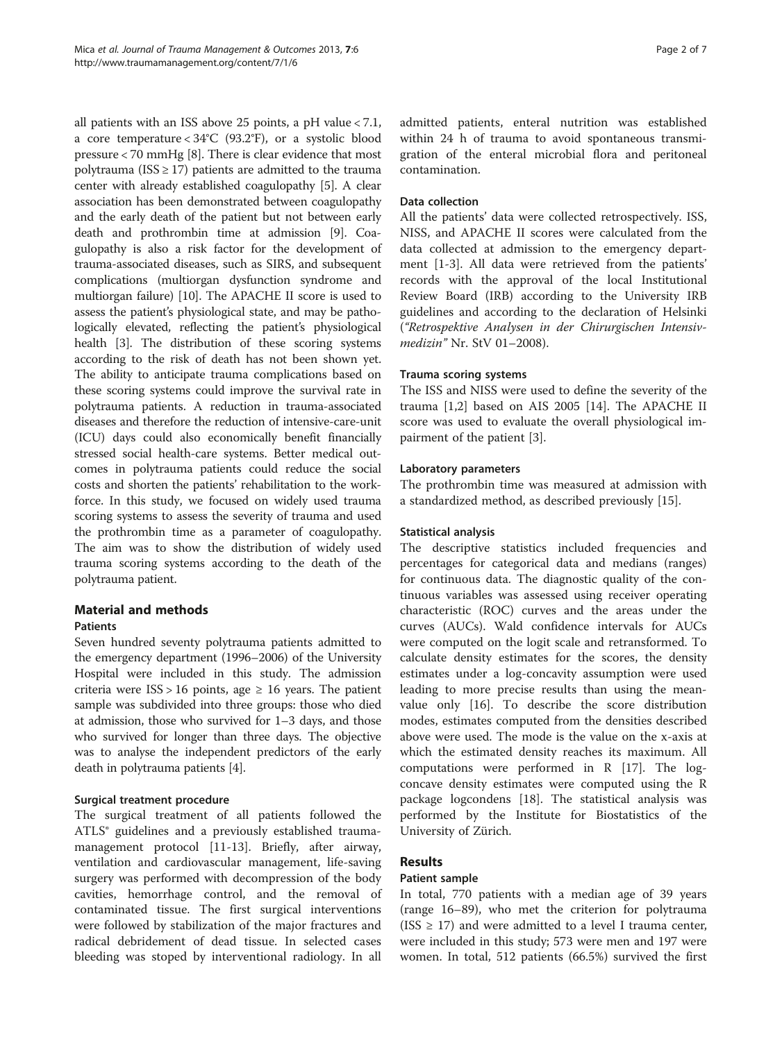all patients with an ISS above 25 points, a pH value  $< 7.1$ , a core temperature < 34°C (93.2°F), or a systolic blood pressure < 70 mmHg [[8](#page-6-0)]. There is clear evidence that most polytrauma (ISS  $\geq$  17) patients are admitted to the trauma center with already established coagulopathy [[5\]](#page-6-0). A clear association has been demonstrated between coagulopathy and the early death of the patient but not between early death and prothrombin time at admission [\[9](#page-6-0)]. Coagulopathy is also a risk factor for the development of trauma-associated diseases, such as SIRS, and subsequent complications (multiorgan dysfunction syndrome and multiorgan failure) [[10](#page-6-0)]. The APACHE II score is used to assess the patient's physiological state, and may be pathologically elevated, reflecting the patient's physiological health [[3\]](#page-6-0). The distribution of these scoring systems according to the risk of death has not been shown yet. The ability to anticipate trauma complications based on these scoring systems could improve the survival rate in polytrauma patients. A reduction in trauma-associated diseases and therefore the reduction of intensive-care-unit (ICU) days could also economically benefit financially stressed social health-care systems. Better medical outcomes in polytrauma patients could reduce the social costs and shorten the patients' rehabilitation to the workforce. In this study, we focused on widely used trauma scoring systems to assess the severity of trauma and used the prothrombin time as a parameter of coagulopathy. The aim was to show the distribution of widely used trauma scoring systems according to the death of the polytrauma patient.

# Material and methods

## **Patients**

Seven hundred seventy polytrauma patients admitted to the emergency department (1996–2006) of the University Hospital were included in this study. The admission criteria were  $ISS > 16$  points, age  $\geq 16$  years. The patient sample was subdivided into three groups: those who died at admission, those who survived for 1–3 days, and those who survived for longer than three days. The objective was to analyse the independent predictors of the early death in polytrauma patients [\[4](#page-6-0)].

## Surgical treatment procedure

The surgical treatment of all patients followed the ATLS® guidelines and a previously established traumamanagement protocol [[11-13](#page-6-0)]. Briefly, after airway, ventilation and cardiovascular management, life-saving surgery was performed with decompression of the body cavities, hemorrhage control, and the removal of contaminated tissue. The first surgical interventions were followed by stabilization of the major fractures and radical debridement of dead tissue. In selected cases bleeding was stoped by interventional radiology. In all

admitted patients, enteral nutrition was established within 24 h of trauma to avoid spontaneous transmigration of the enteral microbial flora and peritoneal contamination.

#### Data collection

All the patients' data were collected retrospectively. ISS, NISS, and APACHE II scores were calculated from the data collected at admission to the emergency department [[1-3](#page-6-0)]. All data were retrieved from the patients' records with the approval of the local Institutional Review Board (IRB) according to the University IRB guidelines and according to the declaration of Helsinki ("Retrospektive Analysen in der Chirurgischen Intensivmedizin" Nr. StV 01–2008).

## Trauma scoring systems

The ISS and NISS were used to define the severity of the trauma [\[1,2](#page-6-0)] based on AIS 2005 [\[14](#page-6-0)]. The APACHE II score was used to evaluate the overall physiological impairment of the patient [[3\]](#page-6-0).

#### Laboratory parameters

The prothrombin time was measured at admission with a standardized method, as described previously [[15\]](#page-6-0).

## Statistical analysis

The descriptive statistics included frequencies and percentages for categorical data and medians (ranges) for continuous data. The diagnostic quality of the continuous variables was assessed using receiver operating characteristic (ROC) curves and the areas under the curves (AUCs). Wald confidence intervals for AUCs were computed on the logit scale and retransformed. To calculate density estimates for the scores, the density estimates under a log-concavity assumption were used leading to more precise results than using the meanvalue only [[16\]](#page-6-0). To describe the score distribution modes, estimates computed from the densities described above were used. The mode is the value on the x-axis at which the estimated density reaches its maximum. All computations were performed in R [[17](#page-6-0)]. The logconcave density estimates were computed using the R package logcondens [[18](#page-6-0)]. The statistical analysis was performed by the Institute for Biostatistics of the University of Zürich.

# Results

# Patient sample

In total, 770 patients with a median age of 39 years (range 16–89), who met the criterion for polytrauma (ISS  $\geq$  17) and were admitted to a level I trauma center, were included in this study; 573 were men and 197 were women. In total, 512 patients (66.5%) survived the first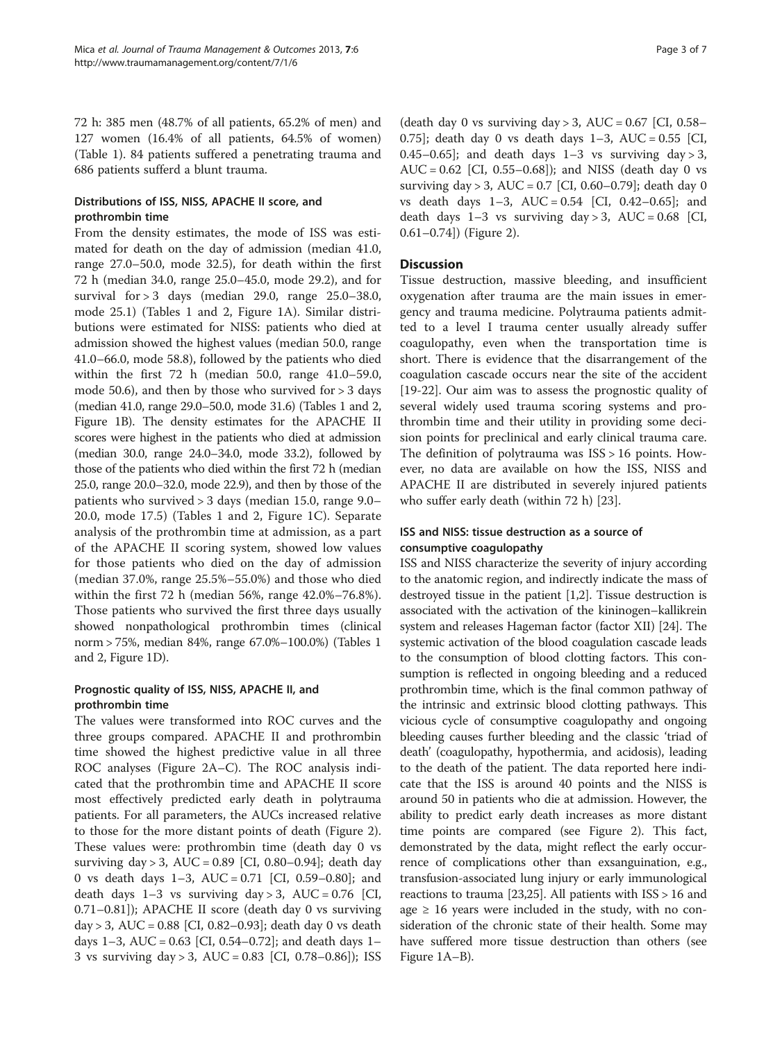72 h: 385 men (48.7% of all patients, 65.2% of men) and 127 women (16.4% of all patients, 64.5% of women) (Table [1\)](#page-3-0). 84 patients suffered a penetrating trauma and 686 patients sufferd a blunt trauma.

## Distributions of ISS, NISS, APACHE II score, and prothrombin time

From the density estimates, the mode of ISS was estimated for death on the day of admission (median 41.0, range 27.0–50.0, mode 32.5), for death within the first 72 h (median 34.0, range 25.0–45.0, mode 29.2), and for survival for > 3 days (median 29.0, range 25.0–38.0, mode 25.1) (Tables [1](#page-3-0) and [2,](#page-4-0) Figure [1](#page-4-0)A). Similar distributions were estimated for NISS: patients who died at admission showed the highest values (median 50.0, range 41.0–66.0, mode 58.8), followed by the patients who died within the first 72 h (median 50.0, range 41.0–59.0, mode 50.6), and then by those who survived for  $>$  3 days (median 41.0, range 29.0–50.0, mode 31.6) (Tables [1](#page-3-0) and [2](#page-4-0), Figure [1](#page-4-0)B). The density estimates for the APACHE II scores were highest in the patients who died at admission (median 30.0, range 24.0–34.0, mode 33.2), followed by those of the patients who died within the first 72 h (median 25.0, range 20.0–32.0, mode 22.9), and then by those of the patients who survived > 3 days (median 15.0, range 9.0– 20.0, mode 17.5) (Tables [1](#page-3-0) and 2, Figure [1](#page-4-0)C). Separate analysis of the prothrombin time at admission, as a part of the APACHE II scoring system, showed low values for those patients who died on the day of admission (median 37.0%, range 25.5%–55.0%) and those who died within the first 72 h (median 56%, range 42.0%–76.8%). Those patients who survived the first three days usually showed nonpathological prothrombin times (clinical norm > 75%, median 84%, range 67.0%–100.0%) (Tables [1](#page-3-0) and [2,](#page-4-0) Figure [1](#page-4-0)D).

## Prognostic quality of ISS, NISS, APACHE II, and prothrombin time

The values were transformed into ROC curves and the three groups compared. APACHE II and prothrombin time showed the highest predictive value in all three ROC analyses (Figure [2A](#page-5-0)–C). The ROC analysis indicated that the prothrombin time and APACHE II score most effectively predicted early death in polytrauma patients. For all parameters, the AUCs increased relative to those for the more distant points of death (Figure [2](#page-5-0)). These values were: prothrombin time (death day 0 vs surviving day > 3, AUC =  $0.89$  [CI, 0.80–0.94]; death day 0 vs death days 1–3, AUC = 0.71 [CI, 0.59–0.80]; and death days  $1-3$  vs surviving day  $> 3$ , AUC = 0.76 [CI, 0.71–0.81]); APACHE II score (death day 0 vs surviving  $day > 3$ ,  $AUC = 0.88$  [CI, 0.82–0.93]; death day 0 vs death days  $1-3$ , AUC = 0.63 [CI, 0.54–0.72]; and death days  $1-$ 3 vs surviving day > 3, AUC = 0.83 [CI, 0.78–0.86]); ISS

(death day 0 vs surviving day  $> 3$ , AUC = 0.67 [CI, 0.58– 0.75]; death day 0 vs death days  $1-3$ , AUC = 0.55 [CI, 0.45–0.65]; and death days  $1-3$  vs surviving day > 3, AUC =  $0.62$  [CI,  $0.55-0.68$ ]); and NISS (death day 0 vs surviving day  $> 3$ , AUC = 0.7 [CI, 0.60–0.79]; death day 0 vs death days  $1-3$ ,  $AUC = 0.54$  [CI, 0.42-0.65]; and death days  $1-3$  vs surviving day > 3, AUC = 0.68 [CI, 0.61–0.74]) (Figure [2](#page-5-0)).

## **Discussion**

Tissue destruction, massive bleeding, and insufficient oxygenation after trauma are the main issues in emergency and trauma medicine. Polytrauma patients admitted to a level I trauma center usually already suffer coagulopathy, even when the transportation time is short. There is evidence that the disarrangement of the coagulation cascade occurs near the site of the accident [[19-22](#page-6-0)]. Our aim was to assess the prognostic quality of several widely used trauma scoring systems and prothrombin time and their utility in providing some decision points for preclinical and early clinical trauma care. The definition of polytrauma was ISS > 16 points. However, no data are available on how the ISS, NISS and APACHE II are distributed in severely injured patients who suffer early death (within 72 h) [[23\]](#page-6-0).

# ISS and NISS: tissue destruction as a source of consumptive coagulopathy

ISS and NISS characterize the severity of injury according to the anatomic region, and indirectly indicate the mass of destroyed tissue in the patient [\[1,2\]](#page-6-0). Tissue destruction is associated with the activation of the kininogen–kallikrein system and releases Hageman factor (factor XII) [[24\]](#page-6-0). The systemic activation of the blood coagulation cascade leads to the consumption of blood clotting factors. This consumption is reflected in ongoing bleeding and a reduced prothrombin time, which is the final common pathway of the intrinsic and extrinsic blood clotting pathways. This vicious cycle of consumptive coagulopathy and ongoing bleeding causes further bleeding and the classic 'triad of death' (coagulopathy, hypothermia, and acidosis), leading to the death of the patient. The data reported here indicate that the ISS is around 40 points and the NISS is around 50 in patients who die at admission. However, the ability to predict early death increases as more distant time points are compared (see Figure [2\)](#page-5-0). This fact, demonstrated by the data, might reflect the early occurrence of complications other than exsanguination, e.g., transfusion-associated lung injury or early immunological reactions to trauma [[23,25\]](#page-6-0). All patients with ISS > 16 and age  $\geq$  16 years were included in the study, with no consideration of the chronic state of their health. Some may have suffered more tissue destruction than others (see Figure [1](#page-4-0)A–B).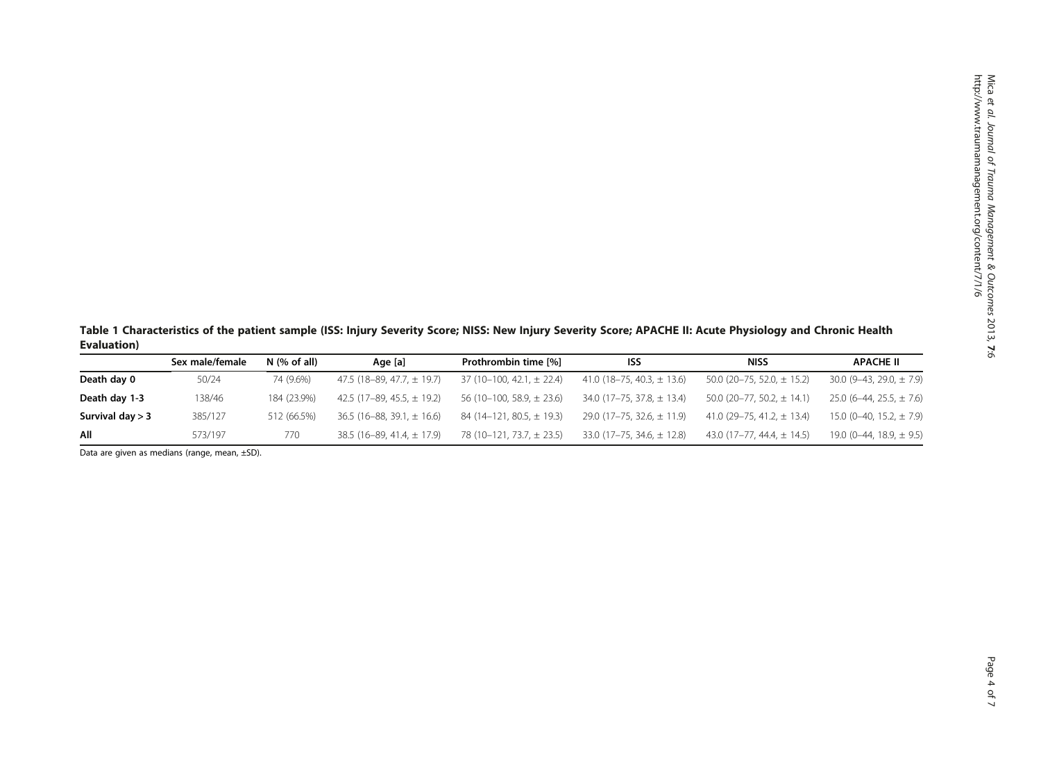<span id="page-3-0"></span>Table 1 Characteristics of the patient sample (ISS: Injury Severity Score; NISS: New Injury Severity Score; APACHE II: Acute Physiology and Chronic Health Evaluation)

|                  | Sex male/female | $N$ (% of all) | Age [a]                        | Prothrombin time [%]          | ISS                              | NISS                             | APACHE II                      |
|------------------|-----------------|----------------|--------------------------------|-------------------------------|----------------------------------|----------------------------------|--------------------------------|
| Death day 0      | 50/24           | 74 (9.6%)      | 47.5 (18–89, 47.7, $\pm$ 19.7) | $37(10-100, 42.1, \pm 22.4)$  | 41.0 (18–75, 40.3, $\pm$ 13.6)   | $50.0$ (20-75, 52.0, $\pm$ 15.2) | $30.0$ (9-43, 29.0, $\pm$ 7.9) |
| Death day 1-3    | 138/46          | 184 (23.9%)    | 42.5 (17–89, 45.5, $\pm$ 19.2) | 56 (10-100, 58.9, $\pm$ 23.6) | $34.0$ (17–75, 37.8, $\pm$ 13.4) | $50.0$ (20–77, 50.2, $\pm$ 14.1) | $25.0$ (6-44, 25.5, $\pm$ 7.6) |
| Survival day > 3 | 385/127         | 512 (66.5%)    | $36.5(16-88.39.1 \pm 16.6)$    | $84(14-121.80.5. \pm 19.3)$   | 29.0 $(17-75, 32.6, \pm 11.9)$   | 41.0 $(29 - 75, 41.2, \pm 13.4)$ | 15.0 (0-40, 15.2, $\pm$ 7.9)   |
| All              | 573/197         | 770            | $38.5(16-89, 41.4, \pm 17.9)$  | 78 (10–121, 73.7, ± 23.5)     | 33.0 (17–75, 34.6, $\pm$ 12.8)   | 43.0 (17–77, 44.4, $\pm$ 14.5)   | 19.0 (0-44, 18.9, $\pm$ 9.5)   |

Data are given as medians (range, mean, ±SD).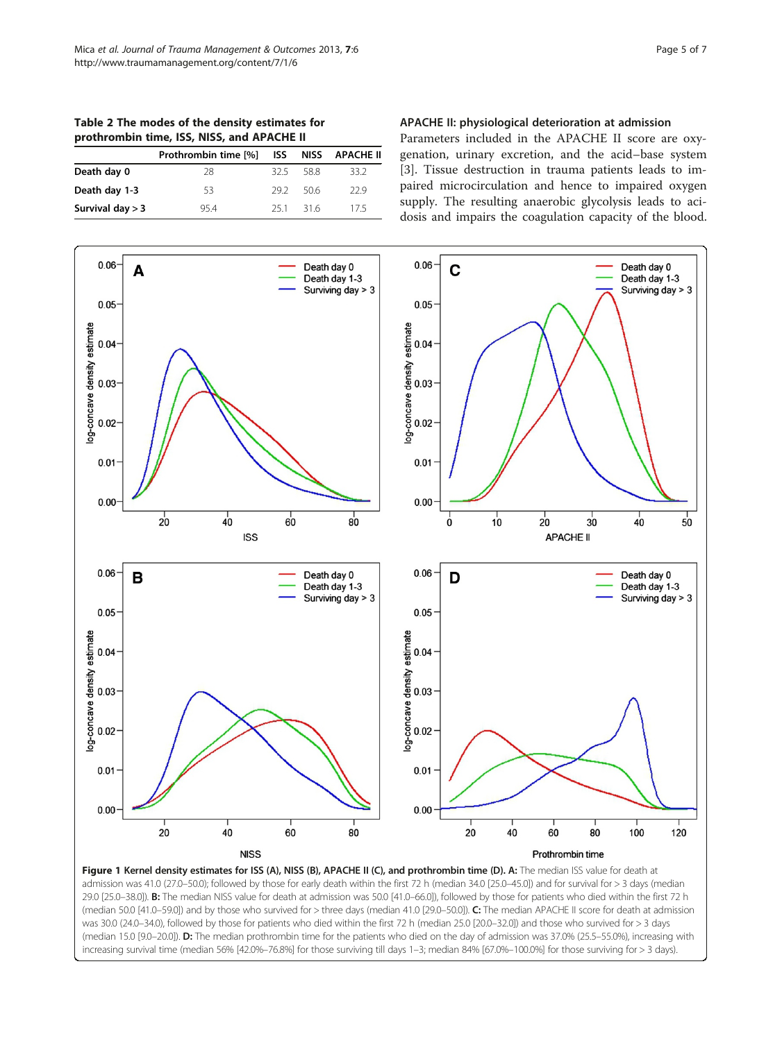<span id="page-4-0"></span>Table 2 The modes of the density estimates for prothrombin time, ISS, NISS, and APACHE II

|                    | Prothrombin time [%] |      |            | <b>ISS NISS APACHE II</b> |
|--------------------|----------------------|------|------------|---------------------------|
| Death day 0        | 28                   | 325. | 58.8       | 332                       |
| Death day 1-3      | 53                   |      | -292 - 506 | 229                       |
| Survival day $>$ 3 | 954                  |      | 251 316    | 175                       |

#### APACHE II: physiological deterioration at admission

Parameters included in the APACHE II score are oxygenation, urinary excretion, and the acid–base system [[3\]](#page-6-0). Tissue destruction in trauma patients leads to impaired microcirculation and hence to impaired oxygen supply. The resulting anaerobic glycolysis leads to acidosis and impairs the coagulation capacity of the blood.



Figure 1 Kernel density estimates for ISS (A), NISS (B), APACHE II (C), and prothrombin time (D). A: The median ISS value for death at admission was 41.0 (27.0–50.0); followed by those for early death within the first 72 h (median 34.0 [25.0–45.0]) and for survival for > 3 days (median 29.0 [25.0–38.0]). B: The median NISS value for death at admission was 50.0 [41.0–66.0]), followed by those for patients who died within the first 72 h (median 50.0 [41.0–59.0]) and by those who survived for > three days (median 41.0 [29.0–50.0]). C: The median APACHE II score for death at admission was 30.0 (24.0–34.0), followed by those for patients who died within the first 72 h (median 25.0 [20.0–32.0]) and those who survived for > 3 days (median 15.0 [9.0–20.0]). D: The median prothrombin time for the patients who died on the day of admission was 37.0% (25.5–55.0%), increasing with increasing survival time (median 56% [42.0%–76.8%] for those surviving till days 1–3; median 84% [67.0%–100.0%] for those surviving for > 3 days).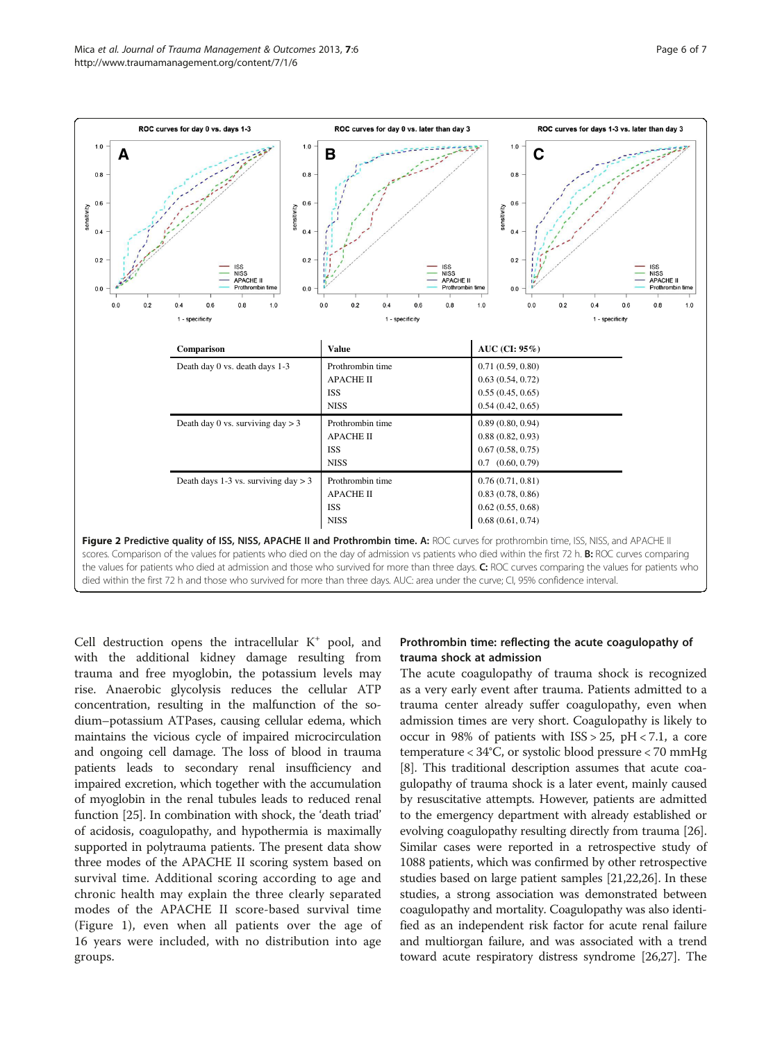<span id="page-5-0"></span>

died within the first 72 h and those who survived for more than three days. AUC: area under the curve; CI, 95% confidence interval.

Cell destruction opens the intracellular  $K^+$  pool, and with the additional kidney damage resulting from trauma and free myoglobin, the potassium levels may rise. Anaerobic glycolysis reduces the cellular ATP concentration, resulting in the malfunction of the sodium–potassium ATPases, causing cellular edema, which maintains the vicious cycle of impaired microcirculation and ongoing cell damage. The loss of blood in trauma patients leads to secondary renal insufficiency and impaired excretion, which together with the accumulation of myoglobin in the renal tubules leads to reduced renal function [\[25\]](#page-6-0). In combination with shock, the 'death triad' of acidosis, coagulopathy, and hypothermia is maximally supported in polytrauma patients. The present data show three modes of the APACHE II scoring system based on survival time. Additional scoring according to age and chronic health may explain the three clearly separated modes of the APACHE II score-based survival time (Figure [1\)](#page-4-0), even when all patients over the age of 16 years were included, with no distribution into age groups.

## Prothrombin time: reflecting the acute coagulopathy of trauma shock at admission

The acute coagulopathy of trauma shock is recognized as a very early event after trauma. Patients admitted to a trauma center already suffer coagulopathy, even when admission times are very short. Coagulopathy is likely to occur in 98% of patients with ISS > 25, pH < 7.1, a core temperature < 34°C, or systolic blood pressure < 70 mmHg [[8\]](#page-6-0). This traditional description assumes that acute coagulopathy of trauma shock is a later event, mainly caused by resuscitative attempts. However, patients are admitted to the emergency department with already established or evolving coagulopathy resulting directly from trauma [[26](#page-6-0)]. Similar cases were reported in a retrospective study of 1088 patients, which was confirmed by other retrospective studies based on large patient samples [\[21,22](#page-6-0),[26](#page-6-0)]. In these studies, a strong association was demonstrated between coagulopathy and mortality. Coagulopathy was also identified as an independent risk factor for acute renal failure and multiorgan failure, and was associated with a trend toward acute respiratory distress syndrome [[26,27\]](#page-6-0). The